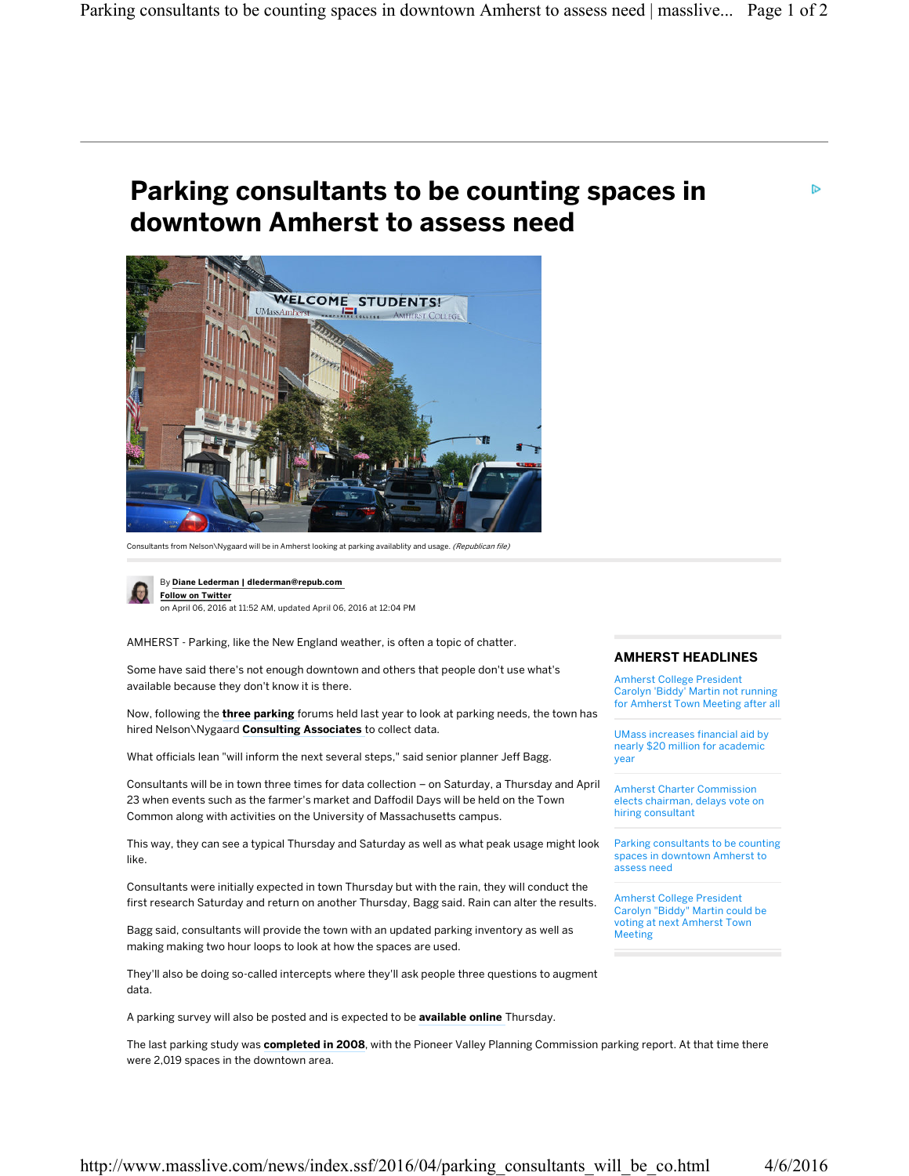## **Parking consultants to be counting spaces in downtown Amherst to assess need**



Consultants from Nelson\Nygaard will be in Amherst looking at parking availablity and usage. (Republican file)



By **Diane Lederman | dlederman@repub.com Follow on Twitter** on April 06, 2016 at 11:52 AM, updated April 06, 2016 at 12:04 PM

AMHERST - Parking, like the New England weather, is often a topic of chatter.

Some have said there's not enough downtown and others that people don't use what's available because they don't know it is there.

Now, following the **three parking** forums held last year to look at parking needs, the town has hired Nelson\Nygaard **Consulting Associates** to collect data.

What officials lean "will inform the next several steps," said senior planner Jeff Bagg.

Consultants will be in town three times for data collection – on Saturday, a Thursday and April 23 when events such as the farmer's market and Daffodil Days will be held on the Town Common along with activities on the University of Massachusetts campus.

This way, they can see a typical Thursday and Saturday as well as what peak usage might look like.

Consultants were initially expected in town Thursday but with the rain, they will conduct the first research Saturday and return on another Thursday, Bagg said. Rain can alter the results.

Bagg said, consultants will provide the town with an updated parking inventory as well as making making two hour loops to look at how the spaces are used.

They'll also be doing so-called intercepts where they'll ask people three questions to augment data.

A parking survey will also be posted and is expected to be **available online** Thursday.

The last parking study was **completed in 2008**, with the Pioneer Valley Planning Commission parking report. At that time there were 2,019 spaces in the downtown area.

## **AMHERST HEADLINES**

Amherst College President Carolyn 'Biddy' Martin not running for Amherst Town Meeting after all

UMass increases financial aid by nearly \$20 million for academic year

Amherst Charter Commission elects chairman, delays vote on hiring consultant

Parking consultants to be counting spaces in downtown Amherst to assess need

Amherst College President Carolyn "Biddy" Martin could be voting at next Amherst Town Meeting

D